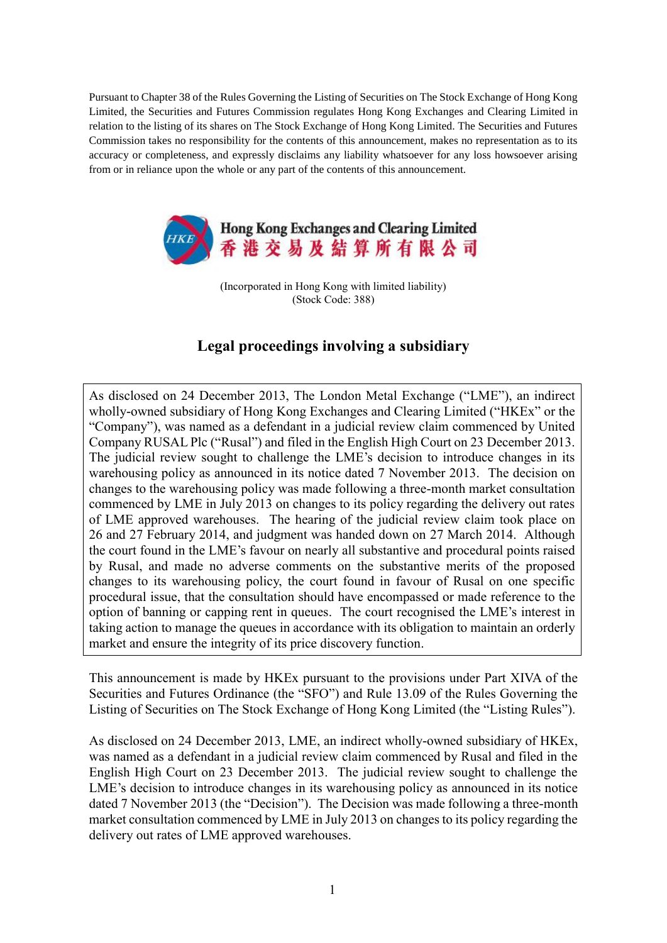Pursuant to Chapter 38 of the Rules Governing the Listing of Securities on The Stock Exchange of Hong Kong Limited, the Securities and Futures Commission regulates Hong Kong Exchanges and Clearing Limited in relation to the listing of its shares on The Stock Exchange of Hong Kong Limited. The Securities and Futures Commission takes no responsibility for the contents of this announcement, makes no representation as to its accuracy or completeness, and expressly disclaims any liability whatsoever for any loss howsoever arising from or in reliance upon the whole or any part of the contents of this announcement.



(Incorporated in Hong Kong with limited liability) (Stock Code: 388)

## **Legal proceedings involving a subsidiary**

As disclosed on 24 December 2013, The London Metal Exchange ("LME"), an indirect wholly-owned subsidiary of Hong Kong Exchanges and Clearing Limited ("HKEx" or the "Company"), was named as a defendant in a judicial review claim commenced by United Company RUSAL Plc ("Rusal") and filed in the English High Court on 23 December 2013. The judicial review sought to challenge the LME's decision to introduce changes in its warehousing policy as announced in its notice dated 7 November 2013. The decision on changes to the warehousing policy was made following a three-month market consultation commenced by LME in July 2013 on changes to its policy regarding the delivery out rates of LME approved warehouses. The hearing of the judicial review claim took place on 26 and 27 February 2014, and judgment was handed down on 27 March 2014. Although the court found in the LME's favour on nearly all substantive and procedural points raised by Rusal, and made no adverse comments on the substantive merits of the proposed changes to its warehousing policy, the court found in favour of Rusal on one specific procedural issue, that the consultation should have encompassed or made reference to the option of banning or capping rent in queues. The court recognised the LME's interest in taking action to manage the queues in accordance with its obligation to maintain an orderly market and ensure the integrity of its price discovery function.

This announcement is made by HKEx pursuant to the provisions under Part XIVA of the Securities and Futures Ordinance (the "SFO") and Rule 13.09 of the Rules Governing the Listing of Securities on The Stock Exchange of Hong Kong Limited (the "Listing Rules").

As disclosed on 24 December 2013, LME, an indirect wholly-owned subsidiary of HKEx, was named as a defendant in a judicial review claim commenced by Rusal and filed in the English High Court on 23 December 2013. The judicial review sought to challenge the LME's decision to introduce changes in its warehousing policy as announced in its notice dated 7 November 2013 (the "Decision"). The Decision was made following a three-month market consultation commenced by LME in July 2013 on changes to its policy regarding the delivery out rates of LME approved warehouses.